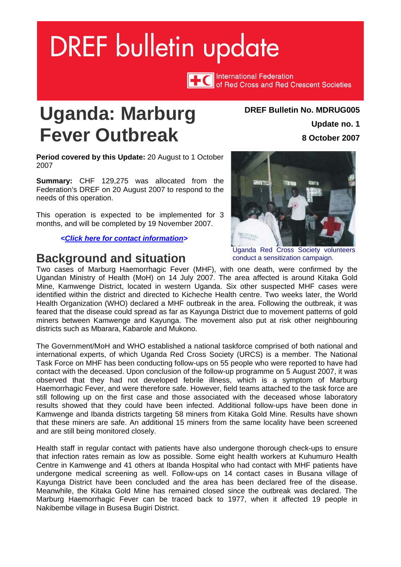# <span id="page-0-0"></span>**DREF bulletin update**

**International Federation** of Red Cross and Red Crescent Societies

# **Uganda: Marburg Fever Outbreak**

**Period covered by this Update:** 20 August to 1 October 2007

**Summary:** CHF 129,275 was allocated from the Federation's DREF on 20 August 2007 to respond to the needs of this operation.

This operation is expected to be implemented for 3 months, and will be completed by 19 November 2007.

*[<Click here for contact information>](#page-5-0)*

### **Background and situation**

#### **DREF Bulletin No. MDRUG005**

**Update no. 1 8 October 2007**



Uganda Red Cross Society volunteers conduct a sensitization campaign.

Two cases of Marburg Haemorrhagic Fever (MHF), with one death, were confirmed by the Ugandan Ministry of Health (MoH) on 14 July 2007. The area affected is around Kitaka Gold Mine, Kamwenge District, located in western Uganda. Six other suspected MHF cases were identified within the district and directed to Kicheche Health centre. Two weeks later, the World Health Organization (WHO) declared a MHF outbreak in the area. Following the outbreak, it was feared that the disease could spread as far as Kayunga District due to movement patterns of gold miners between Kamwenge and Kayunga. The movement also put at risk other neighbouring districts such as Mbarara, Kabarole and Mukono.

The Government/MoH and WHO established a national taskforce comprised of both national and international experts, of which Uganda Red Cross Society (URCS) is a member. The National Task Force on MHF has been conducting follow-ups on 55 people who were reported to have had contact with the deceased. Upon conclusion of the follow-up programme on 5 August 2007, it was observed that they had not developed febrile illness, which is a symptom of Marburg Haemorrhagic Fever, and were therefore safe. However, field teams attached to the task force are still following up on the first case and those associated with the deceased whose laboratory results showed that they could have been infected. Additional follow-ups have been done in Kamwenge and Ibanda districts targeting 58 miners from Kitaka Gold Mine. Results have shown that these miners are safe. An additional 15 miners from the same locality have been screened and are still being monitored closely.

Health staff in regular contact with patients have also undergone thorough check-ups to ensure that infection rates remain as low as possible. Some eight health workers at Kuhumuro Health Centre in Kamwenge and 41 others at Ibanda Hospital who had contact with MHF patients have undergone medical screening as well. Follow-ups on 14 contact cases in Busana village of Kayunga District have been concluded and the area has been declared free of the disease. Meanwhile, the Kitaka Gold Mine has remained closed since the outbreak was declared. The Marburg Haemorrhagic Fever can be traced back to 1977, when it affected 19 people in Nakibembe village in Busesa Bugiri District.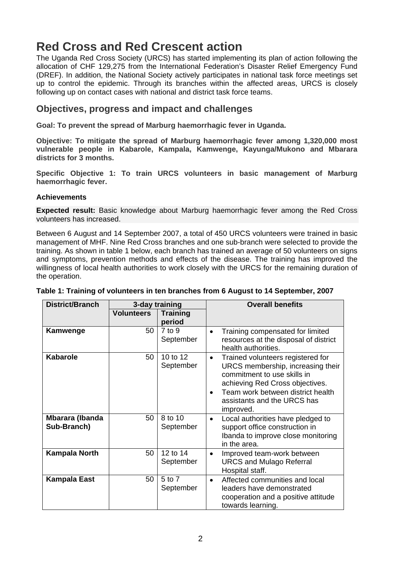# **Red Cross and Red Crescent action**

The Uganda Red Cross Society (URCS) has started implementing its plan of action following the allocation of CHF 129,275 from the International Federation's Disaster Relief Emergency Fund (DREF). In addition, the National Society actively participates in national task force meetings set up to control the epidemic. Through its branches within the affected areas, URCS is closely following up on contact cases with national and district task force teams.

#### **Objectives, progress and impact and challenges**

**Goal: To prevent the spread of Marburg haemorrhagic fever in Uganda.** 

**Objective: To mitigate the spread of Marburg haemorrhagic fever among 1,320,000 most vulnerable people in Kabarole, Kampala, Kamwenge, Kayunga/Mukono and Mbarara districts for 3 months.** 

**Specific Objective 1: To train URCS volunteers in basic management of Marburg haemorrhagic fever.** 

#### **Achievements**

**Expected result:** Basic knowledge about Marburg haemorrhagic fever among the Red Cross volunteers has increased.

Between 6 August and 14 September 2007, a total of 450 URCS volunteers were trained in basic management of MHF. Nine Red Cross branches and one sub-branch were selected to provide the training. As shown in table 1 below, each branch has trained an average of 50 volunteers on signs and symptoms, prevention methods and effects of the disease. The training has improved the willingness of local health authorities to work closely with the URCS for the remaining duration of the operation.

| <b>District/Branch</b>         | 3-day training    |                           | <b>Overall benefits</b>                                                                                                                                                                                                                             |  |
|--------------------------------|-------------------|---------------------------|-----------------------------------------------------------------------------------------------------------------------------------------------------------------------------------------------------------------------------------------------------|--|
|                                | <b>Volunteers</b> | <b>Training</b><br>period |                                                                                                                                                                                                                                                     |  |
| Kamwenge                       | 50                | $7$ to $9$<br>September   | Training compensated for limited<br>$\bullet$<br>resources at the disposal of district<br>health authorities.                                                                                                                                       |  |
| <b>Kabarole</b>                | 50                | 10 to 12<br>September     | Trained volunteers registered for<br>$\bullet$<br>URCS membership, increasing their<br>commitment to use skills in<br>achieving Red Cross objectives.<br>Team work between district health<br>$\bullet$<br>assistants and the URCS has<br>improved. |  |
| Mbarara (Ibanda<br>Sub-Branch) | 50                | 8 to 10<br>September      | Local authorities have pledged to<br>$\bullet$<br>support office construction in<br>Ibanda to improve close monitoring<br>in the area.                                                                                                              |  |
| <b>Kampala North</b>           | 50                | 12 to 14<br>September     | Improved team-work between<br>$\bullet$<br><b>URCS and Mulago Referral</b><br>Hospital staff.                                                                                                                                                       |  |
| <b>Kampala East</b>            | 50                | 5 to 7<br>September       | Affected communities and local<br>$\bullet$<br>leaders have demonstrated<br>cooperation and a positive attitude<br>towards learning.                                                                                                                |  |

#### **Table 1: Training of volunteers in ten branches from 6 August to 14 September, 2007**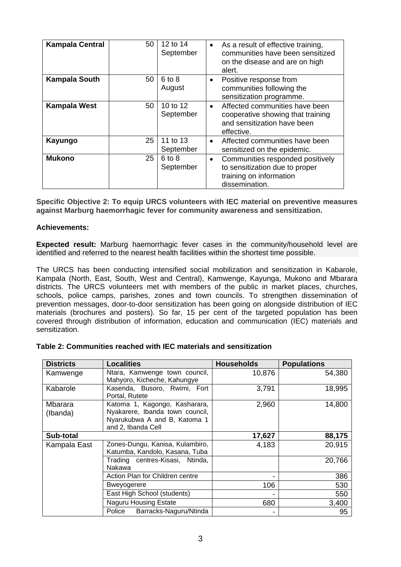| <b>Kampala Central</b> | 50 | 12 to 14<br>September | As a result of effective training,<br>$\bullet$<br>communities have been sensitized<br>on the disease and are on high<br>alert. |
|------------------------|----|-----------------------|---------------------------------------------------------------------------------------------------------------------------------|
| <b>Kampala South</b>   | 50 | $6$ to $8$<br>August  | Positive response from<br>$\bullet$<br>communities following the<br>sensitization programme.                                    |
| <b>Kampala West</b>    | 50 | 10 to 12<br>September | Affected communities have been<br>$\bullet$<br>cooperative showing that training<br>and sensitization have been<br>effective.   |
| Kayungo                | 25 | 11 to 13<br>September | Affected communities have been<br>$\bullet$<br>sensitized on the epidemic.                                                      |
| <b>Mukono</b>          | 25 | 6 to 8<br>September   | Communities responded positively<br>$\bullet$<br>to sensitization due to proper<br>training on information<br>dissemination.    |

**Specific Objective 2: To equip URCS volunteers with IEC material on preventive measures against Marburg haemorrhagic fever for community awareness and sensitization.** 

#### **Achievements:**

**Expected result:** Marburg haemorrhagic fever cases in the community/household level are identified and referred to the nearest health facilities within the shortest time possible.

The URCS has been conducting intensified social mobilization and sensitization in Kabarole, Kampala (North, East, South, West and Central), Kamwenge, Kayunga, Mukono and Mbarara districts. The URCS volunteers met with members of the public in market places, churches, schools, police camps, parishes, zones and town councils. To strengthen dissemination of prevention messages, door-to-door sensitization has been going on alongside distribution of IEC materials (brochures and posters). So far, 15 per cent of the targeted population has been covered through distribution of information, education and communication (IEC) materials and sensitization.

| <b>Districts</b>    | <b>Localities</b>                                                                                                      | <b>Households</b> | <b>Populations</b> |
|---------------------|------------------------------------------------------------------------------------------------------------------------|-------------------|--------------------|
| Kamwenge            | Ntara, Kamwenge town council,<br>Mahyoro, Kicheche, Kahungye                                                           | 10,876            | 54,380             |
| Kabarole            | Kasenda, Busoro, Rwimi, Fort<br>Portal, Rutete                                                                         | 3,791             | 18,995             |
| Mbarara<br>(Ibanda) | Katoma 1, Kagongo, Kasharara,<br>Nyakarere, Ibanda town council,<br>Nyarukubwa A and B, Katoma 1<br>and 2, Ibanda Cell | 2,960             | 14,800             |
| Sub-total           |                                                                                                                        | 17,627            | 88,175             |
| Kampala East        | Zones-Dungu, Kanisa, Kulambiro,<br>Katumba, Kandolo, Kasana, Tuba                                                      | 4,183             | 20,915             |
|                     | Trading centres-Kisasi, Ntinda,<br>Nakawa                                                                              |                   | 20,766             |
|                     | Action Plan for Children centre                                                                                        |                   | 386                |
|                     | <b>Bweyogerere</b>                                                                                                     | 106               | 530                |
|                     | East High School (students)                                                                                            |                   | 550                |
|                     | <b>Naguru Housing Estate</b>                                                                                           | 680               | 3,400              |
|                     | Barracks-Naguru/Ntinda<br>Police                                                                                       |                   | 95                 |

#### **Table 2: Communities reached with IEC materials and sensitization**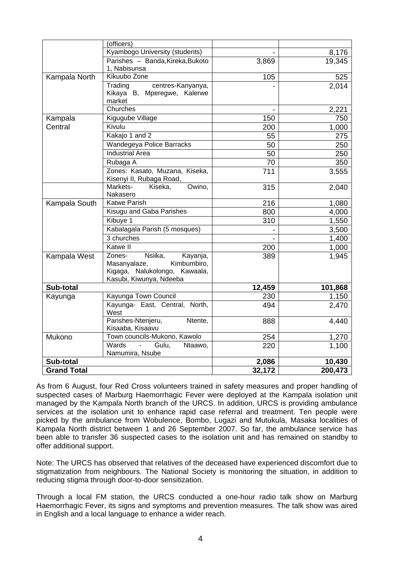|                    | (officers)                                                 |                |                |
|--------------------|------------------------------------------------------------|----------------|----------------|
|                    | Kyambogo University (students)                             |                | 8,176          |
|                    | Parishes - Banda, Kireka, Bukoto<br>1, Nabisunsa           | 3,869          | 19,345         |
| Kampala North      | Kikuubo Zone                                               | 105            | 525            |
|                    | centres-Kanyanya,<br>Trading                               |                | 2,014          |
|                    | Kikaya B, Mperegwe, Kalerwe                                |                |                |
|                    | market                                                     |                |                |
|                    | Churches                                                   |                | 2,221          |
| Kampala            | Kigugube Village                                           | 150            | 750            |
| Central            | Kivulu                                                     | 200            | 1,000          |
|                    | Kakajo 1 and 2                                             | 55             | 275            |
|                    | Wandegeya Police Barracks                                  | 50             | 250            |
|                    | <b>Industrial Area</b>                                     | 50             | 250            |
|                    | Rubaga A                                                   | 70             | 350            |
|                    | Zones: Kasato, Muzana, Kiseka,<br>Kisenyi II, Rubaga Road, | 711            | 3,555          |
|                    | Markets-<br>Kiseka,<br>Owino,<br>Nakasero                  | 315            | 2,040          |
| Kampala South      | <b>Katwe Parish</b>                                        | 216            | 1,080          |
|                    | Kisugu and Gaba Parishes                                   | 800            | 4,000          |
|                    | Kibuye 1                                                   | 310            | 1,550          |
|                    | Kabalagala Parish (5 mosques)                              |                | 3,500          |
|                    | 3 churches                                                 | $\overline{a}$ | 1,400          |
|                    | <b>Katwe II</b>                                            | 200            | 1,000          |
| Kampala West       | Zones-<br>$\overline{\mathsf{N}}$ siika,<br>Kayanja,       | 389            | 1,945          |
|                    | Masanyalaze,<br>Kimbumbiro,                                |                |                |
|                    | Kigaga, Nalukolongo, Kawaala,                              |                |                |
|                    | Kasubi, Kiwunya, Ndeeba                                    |                |                |
| Sub-total          | Kayunga Town Council                                       | 12,459<br>230  | 101,868        |
| Kayunga            | Kayunga- East, Central, North,                             | 494            | 1,150<br>2,470 |
|                    | West                                                       |                |                |
|                    | Parishes-Ntenjeru,<br>Ntente,<br>Kisaaba, Kisaavu          | 888            | 4,440          |
| Mukono             | Town councils-Mukono, Kawolo                               | 254            | 1,270          |
|                    | Wards<br>Gulu,<br>$\mathbf{r}$<br>Ntaawo,                  | 220            | 1,100          |
|                    | Namumira, Nsube                                            |                |                |
| Sub-total          |                                                            | 2,086          | 10,430         |
| <b>Grand Total</b> |                                                            | 32,172         | 200,473        |

As from 6 August, four Red Cross volunteers trained in safety measures and proper handling of suspected cases of Marburg Haemorrhagic Fever were deployed at the Kampala isolation unit managed by the Kampala North branch of the URCS. In addition, URCS is providing ambulance services at the isolation unit to enhance rapid case referral and treatment. Ten people were picked by the ambulance from Wobulence, Bombo, Lugazi and Mutukula, Masaka localities of Kampala North district between 1 and 26 September 2007. So far, the ambulance service has been able to transfer 36 suspected cases to the isolation unit and has remained on standby to offer additional support.

Note: The URCS has observed that relatives of the deceased have experienced discomfort due to stigmatization from neighbours. The National Society is monitoring the situation, in addition to reducing stigma through door-to-door sensitization.

Through a local FM station, the URCS conducted a one-hour radio talk show on Marburg Haemorrhagic Fever, its signs and symptoms and prevention measures. The talk show was aired in English and a local language to enhance a wider reach.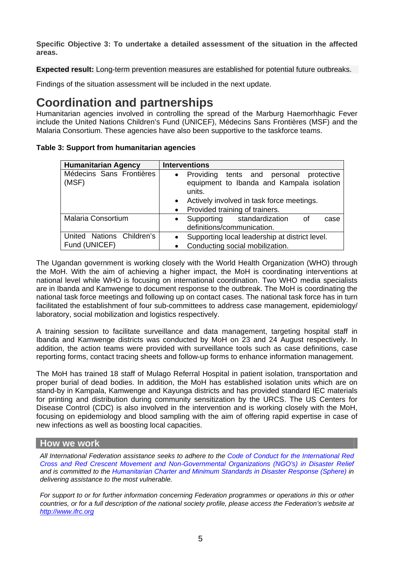**Specific Objective 3: To undertake a detailed assessment of the situation in the affected areas.** 

**Expected result:** Long-term prevention measures are established for potential future outbreaks.

Findings of the situation assessment will be included in the next update.

## **Coordination and partnerships**

Humanitarian agencies involved in controlling the spread of the Marburg Haemorhhagic Fever include the United Nations Children's Fund (UNICEF), Médecins Sans Frontières (MSF) and the Malaria Consortium. These agencies have also been supportive to the taskforce teams.

| <b>Humanitarian Agency</b>        | <b>Interventions</b>                                                                                                                          |
|-----------------------------------|-----------------------------------------------------------------------------------------------------------------------------------------------|
| Médecins Sans Frontières<br>(MSF) | • Providing tents and personal protective<br>equipment to Ibanda and Kampala isolation<br>units.<br>Actively involved in task force meetings. |
| Malaria Consortium                | Provided training of trainers.<br>Supporting standardization<br>of<br>case<br>$\bullet$                                                       |
|                                   | definitions/communication.                                                                                                                    |
| United Nations Children's         | Supporting local leadership at district level.<br>$\bullet$                                                                                   |
| Fund (UNICEF)                     | Conducting social mobilization.<br>٠                                                                                                          |

**Table 3: Support from humanitarian agencies** 

The Ugandan government is working closely with the World Health Organization (WHO) through the MoH. With the aim of achieving a higher impact, the MoH is coordinating interventions at national level while WHO is focusing on international coordination. Two WHO media specialists are in Ibanda and Kamwenge to document response to the outbreak. The MoH is coordinating the national task force meetings and following up on contact cases. The national task force has in turn facilitated the establishment of four sub-committees to address case management, epidemiology/ laboratory, social mobilization and logistics respectively.

A training session to facilitate surveillance and data management, targeting hospital staff in Ibanda and Kamwenge districts was conducted by MoH on 23 and 24 August respectively. In addition, the action teams were provided with surveillance tools such as case definitions, case reporting forms, contact tracing sheets and follow-up forms to enhance information management.

The MoH has trained 18 staff of Mulago Referral Hospital in patient isolation, transportation and proper burial of dead bodies. In addition, the MoH has established isolation units which are on stand-by in Kampala, Kamwenge and Kayunga districts and has provided standard IEC materials for printing and distribution during community sensitization by the URCS. The US Centers for Disease Control (CDC) is also involved in the intervention and is working closely with the MoH, focusing on epidemiology and blood sampling with the aim of offering rapid expertise in case of new infections as well as boosting local capacities.

#### **How we work**

*All International Federation assistance seeks to adhere to the [Code of Conduct for the International Red](http://www.ifrc.org/publicat/conduct/)  [Cross and Red Crescent Movement and Non-Governmental Organizations \(NGO's\) in Disaster Relief](http://www.ifrc.org/publicat/conduct/) and is committed to the [Humanitarian Charter and Minimum Standards in Disaster Response](http://www.sphereproject.org/) (Sphere) in delivering assistance to the most vulnerable.* 

*For support to or for further information concerning Federation programmes or operations in this or other countries, or for a full description of the national society profile, please access the Federation's website at [http://www.ifrc.org](http://www.ifrc.org/)*